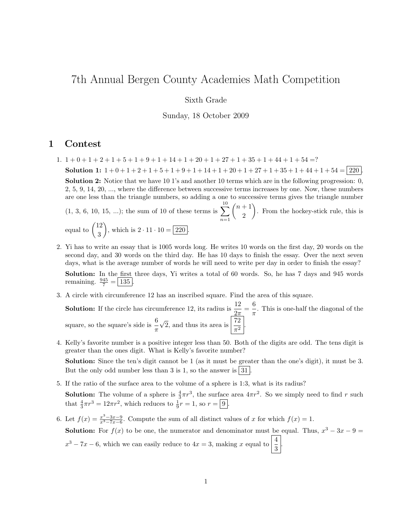## 7th Annual Bergen County Academies Math Competition

## Sixth Grade

Sunday, 18 October 2009

## 1 Contest

- 1.  $1+0+1+2+1+5+1+9+1+14+1+20+1+27+1+35+1+44+1+54=?$ Solution 1:  $1+0+1+2+1+5+1+9+1+14+1+20+1+27+1+35+1+44+1+54 = \boxed{220}$ . Solution 2: Notice that we have 10 1's and another 10 terms which are in the following progression: 0, 2, 5, 9, 14, 20, ..., where the difference between successive terms increases by one. Now, these numbers are one less than the triangle numbers, so adding a one to successive terms gives the triangle number  $(1, 3, 6, 10, 15, ...)$ ; the sum of 10 of these terms is  $\sum_{n=1}^{10}$  $n=1$  $(n+1)$ 2 . From the hockey-stick rule, this is equal to  $\binom{12}{8}$ 3 ), which is  $2 \cdot 11 \cdot 10 = 220$ .
- 2. Yi has to write an essay that is 1005 words long. He writes 10 words on the first day, 20 words on the second day, and 30 words on the third day. He has 10 days to finish the essay. Over the next seven days, what is the average number of words he will need to write per day in order to finish the essay?

Solution: In the first three days, Yi writes a total of 60 words. So, he has 7 days and 945 words remaining.  $\frac{945}{7} = 135$ .

3. A circle with circumference 12 has an inscribed square. Find the area of this square.

**Solution:** If the circle has circumference 12, its radius is  $\frac{12}{2\pi} = \frac{6}{\pi}$  $\frac{0}{\pi}$ . This is one-half the diagonal of the square, so the square's side is  $\frac{6}{\pi}$  $\sqrt{2}$ , and thus its area is  $\frac{72}{\pi^2}$ .

4. Kelly's favorite number is a positive integer less than 50. Both of the digits are odd. The tens digit is greater than the ones digit. What is Kelly's favorite number?

Solution: Since the ten's digit cannot be 1 (as it must be greater than the one's digit), it must be 3. But the only odd number less than 3 is 1, so the answer is  $|31|$ 

- 5. If the ratio of the surface area to the volume of a sphere is 1:3, what is its radius? **Solution:** The volume of a sphere is  $\frac{4}{3}\pi r^3$ , the surface area  $4\pi r^2$ . So we simply need to find r such that  $\frac{4}{3}\pi r^3 = 12\pi r^2$ , which reduces to  $\frac{1}{9}r = 1$ , so  $r = \boxed{9}$ .
- 6. Let  $f(x) = \frac{x^3 3x 9}{x^3 7x 6}$ . Compute the sum of all distinct values of x for which  $f(x) = 1$ . **Solution:** For  $f(x)$  to be one, the numerator and denominator must be equal. Thus,  $x^3 - 3x - 9 = 0$  $x^3 - 7x - 6$ , which we can easily reduce to  $4x = 3$ , making x equal to  $\frac{4}{3}$ .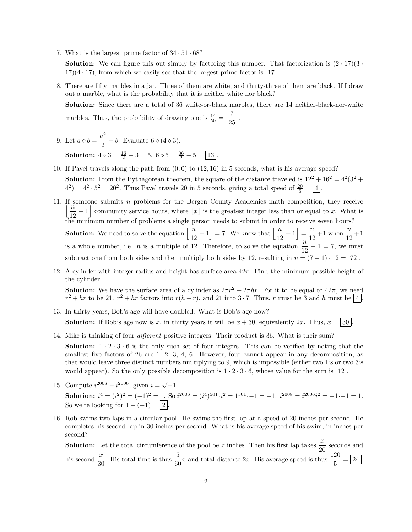7. What is the largest prime factor of  $34 \cdot 51 \cdot 68$ ?

**Solution:** We can figure this out simply by factoring this number. That factorization is  $(2 \cdot 17)(3 \cdot$  $17(4 \cdot 17)$ , from which we easily see that the largest prime factor is | 17 .

8. There are fifty marbles in a jar. Three of them are white, and thirty-three of them are black. If I draw out a marble, what is the probability that it is neither white nor black?

Solution: Since there are a total of 36 white-or-black marbles, there are 14 neither-black-nor-white marbles. Thus, the probability of drawing one is  $\frac{14}{50} = \frac{7}{25}$  $\frac{1}{25}$ 

9. Let  $a \diamond b = \frac{a^2}{2}$  $\frac{x}{2} - b$ . Evaluate  $6 \diamond (4 \diamond 3)$ .

**Solution:**  $4 \diamond 3 = \frac{16}{2} - 3 = 5$ .  $6 \diamond 5 = \frac{36}{2} - 5 = \boxed{13}$ .

- 10. If Pavel travels along the path from  $(0, 0)$  to  $(12, 16)$  in 5 seconds, what is his average speed? **Solution:** From the Pythagorean theorem, the square of the distance traveled is  $12^2 + 16^2 = 4^2(3^2 + 16^2)$  $(4^2) = 4^2 \cdot 5^2 = 20^2$ . Thus Pavel travels 20 in 5 seconds, giving a total speed of  $\frac{20}{5} = 4$ .
- 11. If someone submits  $n$  problems for the Bergen County Academies math competition, they receive  $\sqrt[n]{\frac{n}{n}}$  $\frac{n}{12} + 1$  community service hours, where  $\lfloor x \rfloor$  is the greatest integer less than or equal to x. What is the minimum number of problems a single person needs to submit in order to receive seven hours?

**Solution:** We need to solve the equation  $\left\lfloor \frac{n}{12} + 1 \right\rfloor = 7$ . We know that  $\left\lfloor \frac{n}{12} + 1 \right\rfloor = \frac{n}{12}$  $\frac{n}{12} + 1$  when  $\frac{n}{12} + 1$ is a whole number, i.e. *n* is a multiple of 12. Therefore, to solve the equation  $\frac{n}{12} + 1 = 7$ , we must subtract one from both sides and then multiply both sides by 12, resulting in  $n = (7 - 1) \cdot 12 = |72|$ 

12. A cylinder with integer radius and height has surface area  $42\pi$ . Find the minimum possible height of the cylinder.

**Solution:** We have the surface area of a cylinder as  $2\pi r^2 + 2\pi hr$ . For it to be equal to  $42\pi$ , we need  $r^2 + hr$  to be 21.  $r^2 + hr$  factors into  $r(h + r)$ , and 21 into 3.7. Thus, r must be 3 and h must be 4.

- 13. In thirty years, Bob's age will have doubled. What is Bob's age now? **Solution:** If Bob's age now is x, in thirty years it will be  $x + 30$ , equivalently 2x. Thus,  $x = |30|$
- 14. Mike is thinking of four different positive integers. Their product is 36. What is their sum?

**Solution:**  $1 \cdot 2 \cdot 3 \cdot 6$  is the only such set of four integers. This can be verified by noting that the smallest five factors of 26 are 1, 2, 3, 4, 6. However, four cannot appear in any decomposition, as that would leave three distinct numbers multiplying to 9, which is impossible (either two 1's or two 3's would appear). So the only possible decomposition is  $1 \cdot 2 \cdot 3 \cdot 6$ , whose value for the sum is  $|12|$ 

15. Compute  $i^{2008} - i^{2006}$ , given  $i = \sqrt{-1}$ .

Solution:  $i^4 = (i^2)^2 = (-1)^2 = 1$ . So  $i^{2006} = (i^4)^{501} \cdot i^2 = 1^{501} \cdot -1 = -1$ .  $i^{2008} = i^{2006} i^2 = -1 \cdot -1 = 1$ . So we're looking for  $1 - (-1) = |2|$ .

16. Rob swims two laps in a circular pool. He swims the first lap at a speed of 20 inches per second. He completes his second lap in 30 inches per second. What is his average speed of his swim, in inches per second?

**Solution:** Let the total circumference of the pool be x inches. Then his first lap takes  $\frac{x}{20}$  seconds and his second  $\frac{x}{30}$ . His total time is thus  $\frac{5}{60}x$  and total distance 2x. His average speed is thus  $\frac{120}{5} = 24$ .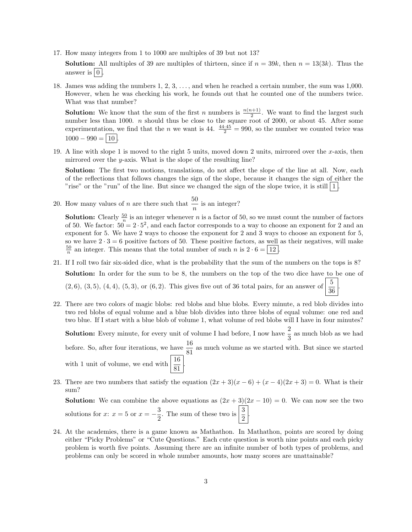17. How many integers from 1 to 1000 are multiples of 39 but not 13?

**Solution:** All multiples of 39 are multiples of thirteen, since if  $n = 39k$ , then  $n = 13(3k)$ . Thus the answer is  $\vert 0 \vert$ .

18. James was adding the numbers 1, 2, 3, . . . , and when he reached a certain number, the sum was 1,000. However, when he was checking his work, he founds out that he counted one of the numbers twice. What was that number?

**Solution:** We know that the sum of the first n numbers is  $\frac{n(n+1)}{2}$ . We want to find the largest such number less than 1000. *n* should thus be close to the square root of 2000, or about 45. After some experimentation, we find that the *n* we want is 44.  $\frac{44.45}{2} = 990$ , so the number we counted twice was  $1000 - 990 = 10$ 

19. A line with slope 1 is moved to the right 5 units, moved down 2 units, mirrored over the x-axis, then mirrored over the  $y$ -axis. What is the slope of the resulting line?

Solution: The first two motions, translations, do not affect the slope of the line at all. Now, each of the reflections that follows changes the sign of the slope, because it changes the sign of either the "rise" or the "run" of the line. But since we changed the sign of the slope twice, it is still  $|1|$ .

20. How many values of *n* are there such that  $\frac{50}{n}$  is an integer?

**Solution:** Clearly  $\frac{50}{n}$  is an integer whenever *n* is a factor of 50, so we must count the number of factors of 50. We factor:  $50 = 2 \cdot 5^2$ , and each factor corresponds to a way to choose an exponent for 2 and an exponent for 5. We have 2 ways to choose the exponent for 2 and 3 ways to choose an exponent for 5, so we have  $2 \cdot 3 = 6$  positive factors of 50. These positive factors, as well as their negatives, will make  $\frac{50}{n}$  an integer. This means that the total number of such n is  $2 \cdot 6 = 12$ .

- 21. If I roll two fair six-sided dice, what is the probability that the sum of the numbers on the tops is 8? Solution: In order for the sum to be 8, the numbers on the top of the two dice have to be one of  $(2, 6), (3, 5), (4, 4), (5, 3),$  or  $(6, 2)$ . This gives five out of 36 total pairs, for an answer of  $\frac{5}{36}$ .
- 22. There are two colors of magic blobs: red blobs and blue blobs. Every minute, a red blob divides into two red blobs of equal volume and a blue blob divides into three blobs of equal volume: one red and two blue. If I start with a blue blob of volume 1, what volume of red blobs will I have in four minutes?

**Solution:** Every minute, for every unit of volume I had before, I now have  $\frac{2}{3}$  as much blob as we had before. So, after four iterations, we have  $\frac{16}{81}$  as much volume as we started with. But since we started with 1 unit of volume, we end with  $\frac{16}{81}$ .

23. There are two numbers that satisfy the equation  $(2x+3)(x-6) + (x-4)(2x+3) = 0$ . What is their sum?

**Solution:** We can combine the above equations as  $(2x + 3)(2x - 10) = 0$ . We can now see the two solutions for x:  $x = 5$  or  $x = -\frac{3}{8}$  $\frac{3}{2}$ . The sum of these two is  $\left|\frac{3}{2}\right|$ .

24. At the academies, there is a game known as Mathathon. In Mathathon, points are scored by doing either "Picky Problems" or "Cute Questions." Each cute question is worth nine points and each picky problem is worth five points. Assuming there are an infinite number of both types of problems, and problems can only be scored in whole number amounts, how many scores are unattainable?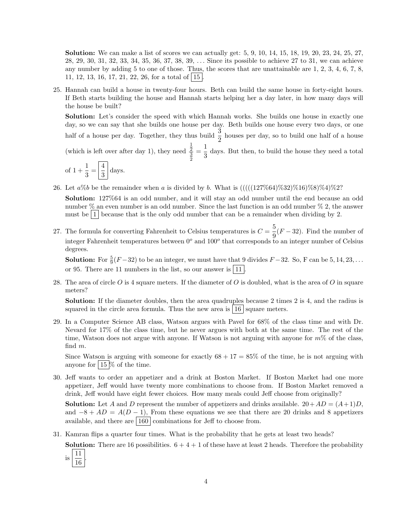Solution: We can make a list of scores we can actually get: 5, 9, 10, 14, 15, 18, 19, 20, 23, 24, 25, 27, 28, 29, 30, 31, 32, 33, 34, 35, 36, 37, 38, 39, . . . Since its possible to achieve 27 to 31, we can achieve any number by adding 5 to one of those. Thus, the scores that are unattainable are 1, 2, 3, 4, 6, 7, 8, 11, 12, 13, 16, 17, 21, 22, 26, for a total of  $|15|$ .

25. Hannah can build a house in twenty-four hours. Beth can build the same house in forty-eight hours. If Beth starts building the house and Hannah starts helping her a day later, in how many days will the house be built?

Solution: Let's consider the speed with which Hannah works. She builds one house in exactly one day, so we can say that she builds one house per day. Beth builds one house every two days, or one half of a house per day. Together, they thus build  $\frac{3}{2}$  houses per day, so to build one half of a house  $=\frac{1}{2}$ 

(which is left over after day 1), they need  $\frac{1}{2}$  $\frac{3}{2}$  $\frac{1}{3}$  days. But then, to build the house they need a total

of 
$$
1 + \frac{1}{3} = \left\lfloor \frac{4}{3} \right\rfloor
$$
 days.

26. Let  $a\%b$  be the remainder when a is divided by b. What is  $(((((127\%64)\%32)\%16)\%8)\%4)\%2$ ?

Solution: 127%64 is an odd number, and it will stay an odd number until the end because an odd number  $\%$  an even number is an odd number. Since the last function is an odd number  $\%$  2, the answer must be  $|1|$  because that is the only odd number that can be a remainder when dividing by 2.

27. The formula for converting Fahrenheit to Celsius temperatures is  $C = \frac{5}{6}$  $\frac{9}{9}(F-32)$ . Find the number of integer Fahrenheit temperatures between  $0^{\circ}$  and  $100^{\circ}$  that corresponds to an integer number of Celsius degrees.

**Solution:** For  $\frac{5}{9}(F-32)$  to be an integer, we must have that 9 divides  $F-32$ . So, F can be 5, 14, 23, ... or 95. There are 11 numbers in the list, so our answer is  $\boxed{11}$ .

28. The area of circle O is 4 square meters. If the diameter of O is doubled, what is the area of O in square meters?

Solution: If the diameter doubles, then the area quadruples because 2 times 2 is 4, and the radius is squared in the circle area formula. Thus the new area is  $\vert 16 \vert$  square meters.

29. In a Computer Science AB class, Watson argues with Pavel for 68% of the class time and with Dr. Nevard for 17% of the class time, but he never argues with both at the same time. The rest of the time, Watson does not argue with anyone. If Watson is not arguing with anyone for  $m\%$  of the class, find m.

Since Watson is arguing with someone for exactly  $68 + 17 = 85\%$  of the time, he is not arguing with anyone for  $15\%$  of the time.

30. Jeff wants to order an appetizer and a drink at Boston Market. If Boston Market had one more appetizer, Jeff would have twenty more combinations to choose from. If Boston Market removed a drink, Jeff would have eight fewer choices. How many meals could Jeff choose from originally?

**Solution:** Let A and D represent the number of appetizers and drinks available.  $20+AD = (A+1)D$ , and  $-8 + AD = A(D-1)$ , From these equations we see that there are 20 drinks and 8 appetizers available, and there are  $|160|$  combinations for Jeff to choose from.

31. Kamran flips a quarter four times. What is the probability that he gets at least two heads?

**Solution:** There are 16 possibilities.  $6 + 4 + 1$  of these have at least 2 heads. Therefore the probability

is 11 16 .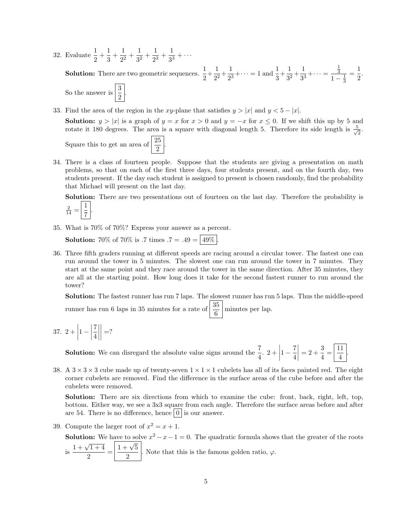32. Evaluate  $\frac{1}{2} + \frac{1}{3}$  $\frac{1}{3} + \frac{1}{2^2}$  $\frac{1}{2^2} + \frac{1}{3^2}$  $\frac{1}{3^2} + \frac{1}{2^3}$  $\frac{1}{2^3} + \frac{1}{3^3}$  $rac{1}{3^3} + \cdots$ 

**Solution:** There are two geometric sequences.  $\frac{1}{2} + \frac{1}{2^2}$  $\frac{1}{2^2} + \frac{1}{2^3}$  $\frac{1}{2^3} + \cdots = 1$  and  $\frac{1}{3} + \frac{1}{3^2}$  $\frac{1}{3^2} + \frac{1}{3^3}$  $\frac{1}{3^3} + \cdots =$  $\frac{1}{3}$  $1-\frac{1}{3}$  $=\frac{1}{2}$  $\frac{1}{2}$ .

So the answer is  $\frac{3}{2}$ .

33. Find the area of the region in the xy-plane that satisfies  $y > |x|$  and  $y < 5 - |x|$ .

**Solution:**  $y > |x|$  is a graph of  $y = x$  for  $x > 0$  and  $y = -x$  for  $x \le 0$ . If we shift this up by 5 and rotate it 180 degrees. The area is a square with diagonal length 5. Therefore its side length is  $\frac{5}{\sqrt{2}}$  $\frac{1}{2}$ .

Square this to get an area of  $\frac{25}{2}$ .

34. There is a class of fourteen people. Suppose that the students are giving a presentation on math problems, so that on each of the first three days, four students present, and on the fourth day, two students present. If the day each student is assigned to present is chosen randomly, find the probability that Michael will present on the last day.

Solution: There are two presentations out of fourteen on the last day. Therefore the probability is 1 .

$$
\frac{2}{14} = \left\lfloor \frac{1}{7} \right\rfloor
$$

35. What is 70% of 70%? Express your answer as a percent.

**Solution:** 70% of 70% is .7 times  $.7 = .49 = |49\%|$ 

36. Three fifth graders running at different speeds are racing around a circular tower. The fastest one can run around the tower in 5 minutes. The slowest one can run around the tower in 7 minutes. They start at the same point and they race around the tower in the same direction. After 35 minutes, they are all at the starting point. How long does it take for the second fastest runner to run around the tower?

Solution: The fastest runner has run 7 laps. The slowest runner has run 5 laps. Thus the middle-speed runner has run 6 laps in 35 minutes for a rate of  $\frac{35}{6}$  minutes per lap.

37.  $2 +$  $1 - \Bigg|$ 7 4  $\begin{array}{c} \hline \rule{0pt}{2.2ex} \\ \rule{0pt}{2.2ex} \end{array}$  $\begin{array}{c} \hline \rule{0pt}{2.5ex} \\ \rule{0pt}{2.5ex} \end{array}$  $=$ ?

> **Solution:** We can disregard the absolute value signs around the  $\frac{7}{4}$ . 2 +  $1-\frac{7}{4}$ 4  $\begin{array}{c} \hline \rule{0pt}{2.2ex} \\ \rule{0pt}{2.2ex} \end{array}$  $= 2 + \frac{3}{4}$  $rac{3}{4} = \frac{11}{4}$  $\frac{1}{4}$

38. A  $3 \times 3 \times 3$  cube made up of twenty-seven  $1 \times 1 \times 1$  cubelets has all of its faces painted red. The eight corner cubelets are removed. Find the difference in the surface areas of the cube before and after the cubelets were removed.

Solution: There are six directions from which to examine the cube: front, back, right, left, top, bottom. Either way, we see a 3x3 square from each angle. Therefore the surface areas before and after are 54. There is no difference, hence  $\vert 0 \vert$  is our answer.

39. Compute the larger root of  $x^2 = x + 1$ .

**Solution:** We have to solve  $x^2 - x - 1 = 0$ . The quadratic formula shows that the greater of the roots  $\frac{1 + \sqrt{1 + 4}}{2}$  $\frac{\sqrt{1+4}}{2} = \frac{1+\sqrt{5}}{2}$  $\frac{\sqrt{3}}{2}$ . Note that this is the famous golden ratio,  $\varphi$ .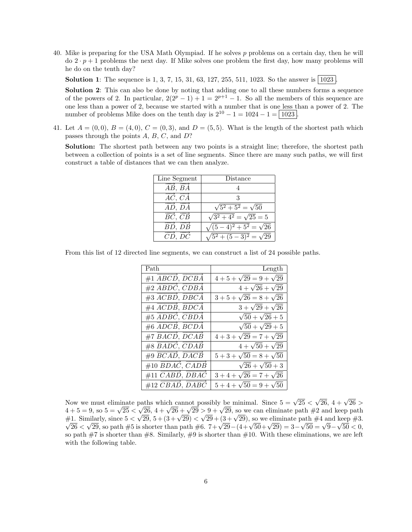40. Mike is preparing for the USA Math Olympiad. If he solves p problems on a certain day, then he will  $\text{do } 2 \cdot p + 1$  problems the next day. If Mike solves one problem the first day, how many problems will he do on the tenth day?

**Solution 1**: The sequence is 1, 3, 7, 15, 31, 63, 127, 255, 511, 1023. So the answer is  $|1023|$ .

Solution 2: This can also be done by noting that adding one to all these numbers forms a sequence of the powers of 2. In particular,  $2(2^p - 1) + 1 = 2^{p+1} - 1$ . So all the members of this sequence are one less than a power of 2, because we started with a number that is one less than a power of 2. The number of problems Mike does on the tenth day is  $2^{10} - 1 = 1024 - 1 = |1023|$ .

41. Let  $A = (0,0), B = (4,0), C = (0,3),$  and  $D = (5,5)$ . What is the length of the shortest path which passes through the points A, B, C, and D?

Solution: The shortest path between any two points is a straight line; therefore, the shortest path between a collection of points is a set of line segments. Since there are many such paths, we will first construct a table of distances that we can then analyze.

| Line Segment                               | Distance                           |
|--------------------------------------------|------------------------------------|
| $\overrightarrow{AB}, \overrightarrow{BA}$ |                                    |
| $\overrightarrow{AC}, \overrightarrow{CA}$ |                                    |
| $\overline{AD}$ , $D\overline{A}$          | $\sqrt{5^2 + 5^2} = \sqrt{50}$     |
| $B\acute{C},\,C\acute{B}$                  | $\sqrt{3^2+4^2}=\sqrt{25}=5$       |
| BD, DB                                     | $\sqrt{(5-4)^2+5^2}=\sqrt{26}$     |
| CD, DC                                     | $\sqrt{5^2 + (5-3)^2} = \sqrt{29}$ |

From this list of 12 directed line segments, we can construct a list of 24 possible paths.

| Path                                                     | Length                        |
|----------------------------------------------------------|-------------------------------|
| $#1$ $\overrightarrow{ABCD}$ , $\overrightarrow{DCBA}$   | $4+5+\sqrt{29} = 9+\sqrt{29}$ |
| $#2$ $\overrightarrow{ABDC}$ , $\overrightarrow{CDBA}$   | $4 + \sqrt{26} + \sqrt{29}$   |
| $\#3 \overrightarrow{ACBD}, \overrightarrow{DBCA}$       | $3+5+\sqrt{26}=8+\sqrt{26}$   |
| $\#4 \overrightarrow{ACDB}, \overrightarrow{BDCA}$       | $3 + \sqrt{29} + \sqrt{26}$   |
| $\#5$ $\overrightarrow{ADBC}$ , $\overrightarrow{CBDA}$  | $\sqrt{50} + \sqrt{26} + 5$   |
| $#6$ $\overrightarrow{ADCB}$ , $\overrightarrow{BCDA}$   | $\sqrt{50} + \sqrt{29} + 5$   |
| #7 $\overrightarrow{BACD}, \overrightarrow{DCAB}$        | $4+3+\sqrt{29}=7+\sqrt{29}$   |
| $\#8$ $\overrightarrow{BADC}, \overrightarrow{CDAB}$     | $4+\sqrt{50}+\sqrt{29}$       |
| $\#9$ $\overrightarrow{BCAD}$ , $\overrightarrow{DACB}$  | $5+3+\sqrt{50}=8+\sqrt{50}$   |
| $\#10$ $\overrightarrow{BDAC}$ , $\overrightarrow{CADB}$ | $\sqrt{26} + \sqrt{50} + 3$   |
| $#11 \overrightarrow{CABD}, \overrightarrow{DBAC}$       | $3+4+\sqrt{26}=7+\sqrt{26}$   |
| $#12 \overrightarrow{CBAD}, \overrightarrow{DABC}$       | $5+4+\sqrt{50} = 9+\sqrt{50}$ |

Now we must eliminate paths which cannot possibly be minimal. Since  $5 = \sqrt{25}$ paths which cannot possibly be minimal. Since  $5 = \sqrt{25} < \sqrt{26}, 4 + \sqrt{26} > \sqrt{26}$ Now we must eliminate paths which cannot possibly be minimal. Since  $5 = \sqrt{25} < \sqrt{26}$ ,  $4 + \sqrt{26} + \sqrt{29} > 9 + \sqrt{29}$ , so we can eliminate path #2 and keep path  $4 + 5 = 9$ , so  $5 = \sqrt{25} < \sqrt{29}$ ,  $4 + \sqrt{20} + \sqrt{29} > 9 + \sqrt{29}$ , so we can eliminate path  $\#2$  and keep path  $\#1$ . Similarly, since  $5 < \sqrt{29}$ ,  $5 + (3 + \sqrt{29}) < \sqrt{29} + (3 + \sqrt{29})$ , so we eliminate path  $\#4$  and keep  $\#3$ . 1. Similarly, since  $5 < \sqrt{29}$ ,  $5 + (3 + \sqrt{29}) < \sqrt{29} + (3 + \sqrt{29})$ , so we eliminate path #4 and keep #3.<br>
26 <  $\sqrt{29}$ , so path #5 is shorter than path #6. 7+ $\sqrt{29} - (4 + \sqrt{50} + \sqrt{29}) = 3 - \sqrt{50} = \sqrt{9} - \sqrt{50} < 0$ , so path  $\#7$  is shorter than  $\#8$ . Similarly,  $\#9$  is shorter than  $\#10$ . With these eliminations, we are left with the following table.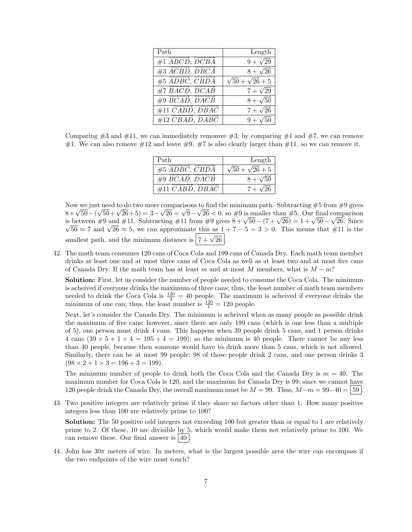| Path                                                   | Length                      |
|--------------------------------------------------------|-----------------------------|
| #1 $\overrightarrow{ABCD}$ , $\overrightarrow{DCBA}$   | $9 + \sqrt{29}$             |
| $\#3 \overline{ACBD}, \overline{DBCA}$                 | $8 + \sqrt{26}$             |
| $#5$ $\overrightarrow{ADBC}$ , $\overrightarrow{CBDA}$ | $\sqrt{50} + \sqrt{26} + 5$ |
| $#7$ $\overrightarrow{BACD}$ , $\overrightarrow{DCAB}$ | $7 + \sqrt{29}$             |
| $#9$ $\overrightarrow{BCAD}, \overrightarrow{DACB}$    | $8 + \sqrt{50}$             |
| $#11 \quad CABD, DBAC$                                 | $7 + \sqrt{26}$             |
| $#12 \overrightarrow{CBAD}, \overrightarrow{DABC}$     | $9 + \sqrt{50}$             |

Comparing  $\#3$  and  $\#11$ , we can immediately remomve  $\#3$ ; by comparing  $\#1$  and  $\#7$ , we can remove #1. We can also remove  $\#12$  and leave  $\#9$ . #7 is also clearly larger than #11, so we can remove it.

| Path                                               | Length                      |
|----------------------------------------------------|-----------------------------|
| $#5$ ADBC, CBDA                                    | $\sqrt{50} + \sqrt{26} + 5$ |
| $\#9$ BCAD, DACB                                   | $8 + \sqrt{50}$             |
| $#11 \overrightarrow{CABD}, \overrightarrow{DBAC}$ | $7 + \sqrt{26}$             |

Now we just need to do two more comparisons to find the minimum path. Subtracting #5 from #9 gives Now we just need to do two more comparisons to find the minimum path. Subtracting #5 from #9 gives  $8 + \sqrt{50} - (\sqrt{50} + \sqrt{26} + 5) = 3 - \sqrt{26} = \sqrt{9} - \sqrt{26} < 0$ , so #9 is smaller than #5. Our final comparison  $8 + \sqrt{50} - (\sqrt{50} + \sqrt{26} + 5) = 3 - \sqrt{26} = \sqrt{9} - \sqrt{26} < 0$ , so #9 is smaller than #5. Our final comparison<br>is between #9 and #11. Subtracting #11 from #9 gives  $8 + \sqrt{50} - (7 + \sqrt{26}) = 1 + \sqrt{50} - \sqrt{26}$ . Since between #9 and #11. Subtracting #11 from #9 gives  $8 + \sqrt{50} - (7 + \sqrt{20}) = 1 + \sqrt{50} - \sqrt{26}$ . Since  $\overline{50} \approx 7$  and  $\sqrt{26} \approx 5$ , we can approximate this as  $1 + 7 - 5 = 3 > 0$ . This means that #11 is the smallest path, and the minimum distance is  $\boxed{7 + \sqrt{26}}$ .

42. The math team consumes 120 cans of Coca Cola and 199 cans of Canada Dry. Each math team member drinks at least one and at most three cans of Coca Cola as well as at least two and at most five cans of Canada Dry. If the math team has at least m and at most M members, what is  $M - m$ ?

Solution: First, let us consider the number of people needed to consume the Coca Cola. The minimum is acheived if everyone drinks the maximum of three cans; thus, the least number of math team members needed to drink the Coca Cola is  $\frac{120}{3} = 40$  people. The maximum is acheived if everyone drinks the minimum of one can; thus, the least number is  $\frac{120}{1} = 120$  people.

Next, let's consider the Canada Dry. The minimum is acheived when as many people as possible drink the maximum of five cans; however, since there are only 199 cans (which is one less than a multiple of 5), one person must drink 4 cans. This happens when 39 people drink 5 cans, and 1 person drinks 4 cans  $(39 \times 5 + 1 \times 4 = 195 + 4 = 199)$ ; so the minimum is 40 people. There cannot be any less than 40 people, because then someone would have to drink more than 5 cans, which is not allowed. Similarly, there can be at most 99 people; 98 of those people drink 2 cans, and one person drinks 3  $(98 \times 2 + 1 \times 3 = 196 + 3 = 199)$ .

The minimum number of people to drink both the Coca Cola and the Canada Dry is  $m = 40$ . The maximum number for Coca Cola is 120, and the maximum for Canada Dry is 99; since we cannot have 120 people drink the Canada Dry, the overall maximum must be  $M = 99$ . Thus,  $M-m = 99-40 = |59|$ .

43. Two positive integers are relatively prime if they share no factors other than 1. How many positive integers less than 100 are relatively prime to 100?

Solution: The 50 positive odd integers not exceeding 100 but greater than or equal to 1 are relatively prime to 2. Of these, 10 are divisible by 5, which would make them not relatively prime to 100. We can remove these. Our final answer is  $|40|$ .

44. John has  $30\pi$  meters of wire. In meters, what is the largest possible area the wire can encompass if the two endpoints of the wire must touch?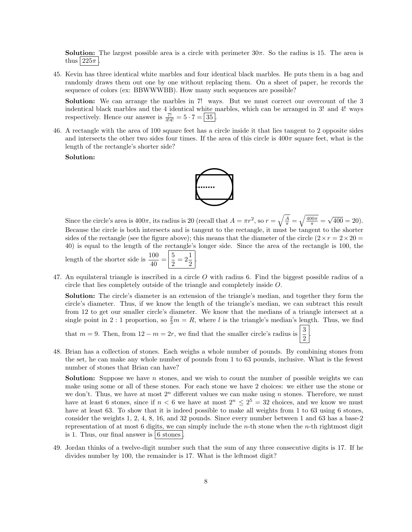**Solution:** The largest possible area is a circle with perimeter  $30\pi$ . So the radius is 15. The area is thus  $|225\pi|$ .

45. Kevin has three identical white marbles and four identical black marbles. He puts them in a bag and randomly draws them out one by one without replacing them. On a sheet of paper, he records the sequence of colors (ex: BBWWWBB). How many such sequences are possible?

Solution: We can arrange the marbles in 7! ways. But we must correct our overcount of the 3 indentical black marbles and the 4 identical white marbles, which can be arranged in 3! and 4! ways respectively. Hence our answer is  $\frac{7!}{3!4!} = 5 \cdot 7 = 35$ .

46. A rectangle with the area of 100 square feet has a circle inside it that lies tangent to 2 opposite sides and intersects the other two sides four times. If the area of this circle is  $400\pi$  square feet, what is the length of the rectangle's shorter side?

Solution:



Since the circle's area is  $400\pi$ , its radius is 20 (recall that  $A = \pi r^2$ , so  $r = \sqrt{\frac{A}{\pi}} = \sqrt{\frac{400\pi}{\pi}} =$ √  $400 = 20$ ). Because the circle is both intersects and is tangent to the rectangle, it must be tangent to the shorter sides of the rectangle (see the figure above); this means that the diameter of the circle  $(2 \times r = 2 \times 20 =$ 40) is equal to the length of the rectangle's longer side. Since the area of the rectangle is 100, the length of the shorter side is  $\frac{100}{40} = \left| \frac{5}{2} \right|$  $\frac{5}{2} = 2\frac{1}{2}$  $\frac{1}{2}$ 

47. An equilateral triangle is inscribed in a circle O with radius 6. Find the biggest possible radius of a circle that lies completely outside of the triangle and completely inside O.

Solution: The circle's diameter is an extension of the triangle's median, and together they form the circle's diameter. Thus, if we know the length of the triangle's median, we can subtract this result from 12 to get our smaller circle's diameter. We know that the medians of a triangle intersect at a single point in 2 : 1 proportion, so  $\frac{2}{3}m = R$ , where l is the triangle's median's length. Thus, we find

.

that  $m = 9$ . Then, from  $12 - m = 2r$ , we find that the smaller circle's radius is  $\frac{3}{2}$ 

48. Brian has a collection of stones. Each weighs a whole number of pounds. By combining stones from the set, he can make any whole number of pounds from 1 to 63 pounds, inclusive. What is the fewest number of stones that Brian can have?

**Solution:** Suppose we have  $n$  stones, and we wish to count the number of possible weights we can make using some or all of these stones. For each stone we have 2 choices: we either use the stone or we don't. Thus, we have at most  $2<sup>n</sup>$  different values we can make using n stones. Therefore, we must have at least 6 stones, since if  $n < 6$  we have at most  $2^n \leq 2^5 = 32$  choices, and we know we must have at least 63. To show that it is indeed possible to make all weights from 1 to 63 using 6 stones, consider the weights 1, 2, 4, 8, 16, and 32 pounds. Since every number between 1 and 63 has a base-2 representation of at most 6 digits, we can simply include the *n*-th stone when the *n*-th rightmost digit is 1. Thus, our final answer is  $\vert 6$  stones  $\vert$ .

49. Jordan thinks of a twelve-digit number such that the sum of any three consecutive digits is 17. If he divides number by 100, the remainder is 17. What is the leftmost digit?